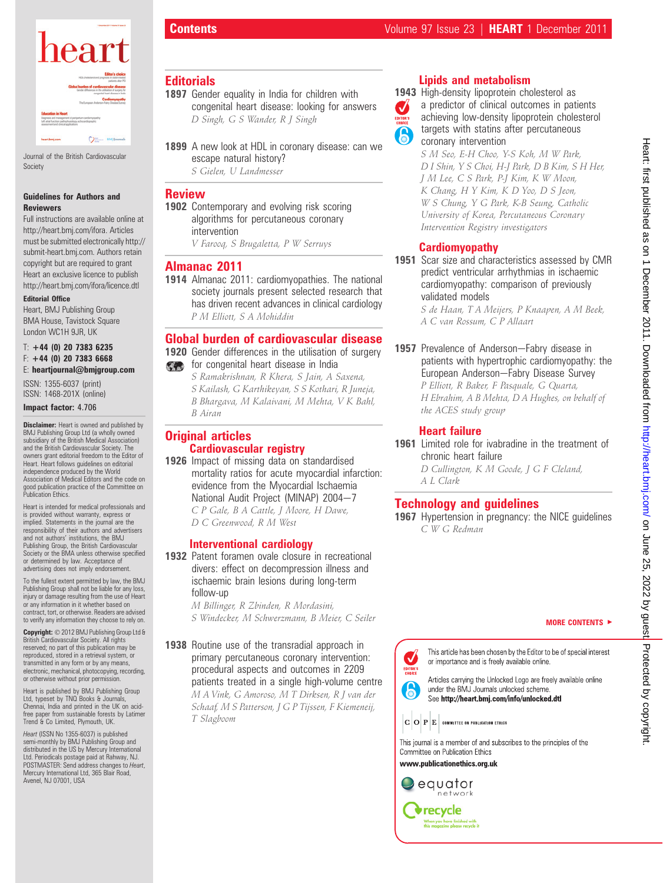

Journal of the British Cardiovascular Society

#### Guidelines for Authors and Reviewers

Full instructions are available online at http://heart.bmj.com/ifora. Articles must be submitted electronically http:// submit-heart.bmj.com. Authors retain copyright but are required to grant Heart an exclusive licence to publish http://heart.bmj.com/ifora/licence.dtl

#### Editorial Office

Heart, BMJ Publishing Group BMA House, Tavistock Square London WC1H 9JR, UK

#### $T: +44$  (0) 20 7383 6235  $F: +44$  (0) 20 7383 6668 E: heartjournal@bmjgroup.com

ISSN: 1355-6037 (print) ISSN: 1468-201X (online)

#### Impact factor: 4.706

**Disclaimer:** Heart is owned and published by BMJ Publishing Group Ltd (a wholly owned subsidiary of the British Medical Association) and the British Cardiovascular Society. The owners grant editorial freedom to the Editor of Heart. Heart follows guidelines on editorial independence produced by the World Association of Medical Editors and the code on good publication practice of the Committee on Publication Ethics.

Heart is intended for medical professionals and is provided without warranty, express or implied. Statements in the journal are the responsibility of their authors and advertisers and not authors' institutions, the BMJ Publishing Group, the British Cardiovascular Society or the BMA unless otherwise specified or determined by law. Acceptance of advertising does not imply endorsement.

To the fullest extent permitted by law, the BMJ Publishing Group shall not be liable for any loss, injury or damage resulting from the use of Heart or any information in it whether based on contract, tort, or otherwise. Readers are advised to verify any information they choose to rely on.

Copyright: © 2012 BMJ Publishing Group Ltd & British Cardiovascular Society. All rights reserved; no part of this publication may be reproduced, stored in a retrieval system, or transmitted in any form or by any means, electronic, mechanical, photocopying, recording, or otherwise without prior permission.

Heart is published by BMJ Publishing Group Ltd, typeset by TNQ Books & Journals, Chennai, India and printed in the UK on acidfree paper from sustainable forests by Latimer Trend & Co Limited, Plymouth, UK.

Heart (ISSN No 1355-6037) is published semi-monthly by BMJ Publishing Group and distributed in the US by Mercury International Ltd. Periodicals postage paid at Rahway, NJ. POSTMASTER: Send address changes to Heart, Mercury International Ltd, 365 Blair Road, Avenel, NJ 07001, USA

# **Editorials**

- 1897 Gender equality in India for children with congenital heart disease: looking for answers D Singh, G S Wander, R J Singh
- 1899 A new look at HDL in coronary disease: can we escape natural history? S Gielen, U Landmesser

## **Review**

1902 Contemporary and evolving risk scoring algorithms for percutaneous coronary intervention

V Farooq, S Brugaletta, P W Serruys

### Almanac 2011

1914 Almanac 2011: cardiomyopathies. The national society journals present selected research that has driven recent advances in clinical cardiology P M Elliott, S A Mohiddin

# Global burden of cardiovascular disease

1920 Gender differences in the utilisation of surgery for congenital heart disease in India

S Ramakrishnan, R Khera, S Jain, A Saxena, S Kailash, G Karthikeyan, S S Kothari, R Juneja, B Bhargava, M Kalaivani, M Mehta, V K Bahl, B Airan

# Original articles Cardiovascular registry

1926 Impact of missing data on standardised mortality ratios for acute myocardial infarction: evidence from the Myocardial Ischaemia National Audit Project (MINAP) 2004-7 C P Gale, B A Cattle, J Moore, H Dawe, D C Greenwood, R M West

#### Interventional cardiology

1932 Patent foramen ovale closure in recreational divers: effect on decompression illness and ischaemic brain lesions during long-term follow-up M Billinger, R Zbinden, R Mordasini,

S Windecker, M Schwerzmann, B Meier, C Seiler

1938 Routine use of the transradial approach in primary percutaneous coronary intervention: procedural aspects and outcomes in 2209 patients treated in a single high-volume centre M A Vink, G Amoroso, M T Dirksen, R J van der Schaaf, M S Patterson, J G P Tijssen, F Kiemeneij, T Slagboom

# Lipids and metabolism

 $\boldsymbol{J}$ 

1943 High-density lipoprotein cholesterol as a predictor of clinical outcomes in patients achieving low-density lipoprotein cholesterol targets with statins after percutaneous coronary intervention

> S M Seo, E-H Choo, Y-S Koh, M W Park, D I Shin, Y S Choi, H-J Park, D B Kim, S H Her, J M Lee, C S Park, P-J Kim, K W Moon, K Chang, H Y Kim, K D Yoo, D S Jeon, W S Chung, Y G Park, K-B Seung, Catholic University of Korea, Percutaneous Coronary Intervention Registry investigators

## **Cardiomyopathy**

1951 Scar size and characteristics assessed by CMR predict ventricular arrhythmias in ischaemic cardiomyopathy: comparison of previously validated models

> S de Haan, T A Meijers, P Knaapen, A M Beek, A C van Rossum, C P Allaart

1957 Prevalence of Anderson-Fabry disease in patients with hypertrophic cardiomyopathy: the European Anderson-Fabry Disease Survey P Elliott, R Baker, F Pasquale, G Quarta, H Ebrahim, A B Mehta, D A Hughes, on behalf of the ACES study group

# Heart failure

1961 Limited role for ivabradine in the treatment of chronic heart failure

D Cullington, K M Goode, J G F Cleland, A L Clark

# Technology and guidelines

1967 Hypertension in pregnancy: the NICE quidelines C W G Redman

#### MORE CONTENTS  $\blacktriangleright$



See http://heart.bmj.com/info/unlocked.dtl

 $\vert \mathbf{C} \vert \mathbf{O} \vert \, \mathbf{P} \vert \mathbf{E} \vert$  committee on publication ethics

This journal is a member of and subscribes to the principles of the Committee on Publication Ethics

www.publicationethics.org.uk